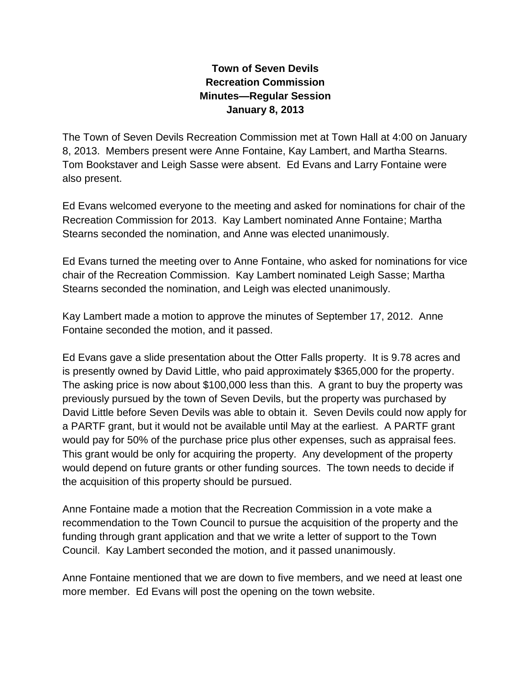## **Town of Seven Devils Recreation Commission Minutes—Regular Session January 8, 2013**

The Town of Seven Devils Recreation Commission met at Town Hall at 4:00 on January 8, 2013. Members present were Anne Fontaine, Kay Lambert, and Martha Stearns. Tom Bookstaver and Leigh Sasse were absent. Ed Evans and Larry Fontaine were also present.

Ed Evans welcomed everyone to the meeting and asked for nominations for chair of the Recreation Commission for 2013. Kay Lambert nominated Anne Fontaine; Martha Stearns seconded the nomination, and Anne was elected unanimously.

Ed Evans turned the meeting over to Anne Fontaine, who asked for nominations for vice chair of the Recreation Commission. Kay Lambert nominated Leigh Sasse; Martha Stearns seconded the nomination, and Leigh was elected unanimously.

Kay Lambert made a motion to approve the minutes of September 17, 2012. Anne Fontaine seconded the motion, and it passed.

Ed Evans gave a slide presentation about the Otter Falls property. It is 9.78 acres and is presently owned by David Little, who paid approximately \$365,000 for the property. The asking price is now about \$100,000 less than this. A grant to buy the property was previously pursued by the town of Seven Devils, but the property was purchased by David Little before Seven Devils was able to obtain it. Seven Devils could now apply for a PARTF grant, but it would not be available until May at the earliest. A PARTF grant would pay for 50% of the purchase price plus other expenses, such as appraisal fees. This grant would be only for acquiring the property. Any development of the property would depend on future grants or other funding sources. The town needs to decide if the acquisition of this property should be pursued.

Anne Fontaine made a motion that the Recreation Commission in a vote make a recommendation to the Town Council to pursue the acquisition of the property and the funding through grant application and that we write a letter of support to the Town Council. Kay Lambert seconded the motion, and it passed unanimously.

Anne Fontaine mentioned that we are down to five members, and we need at least one more member. Ed Evans will post the opening on the town website.